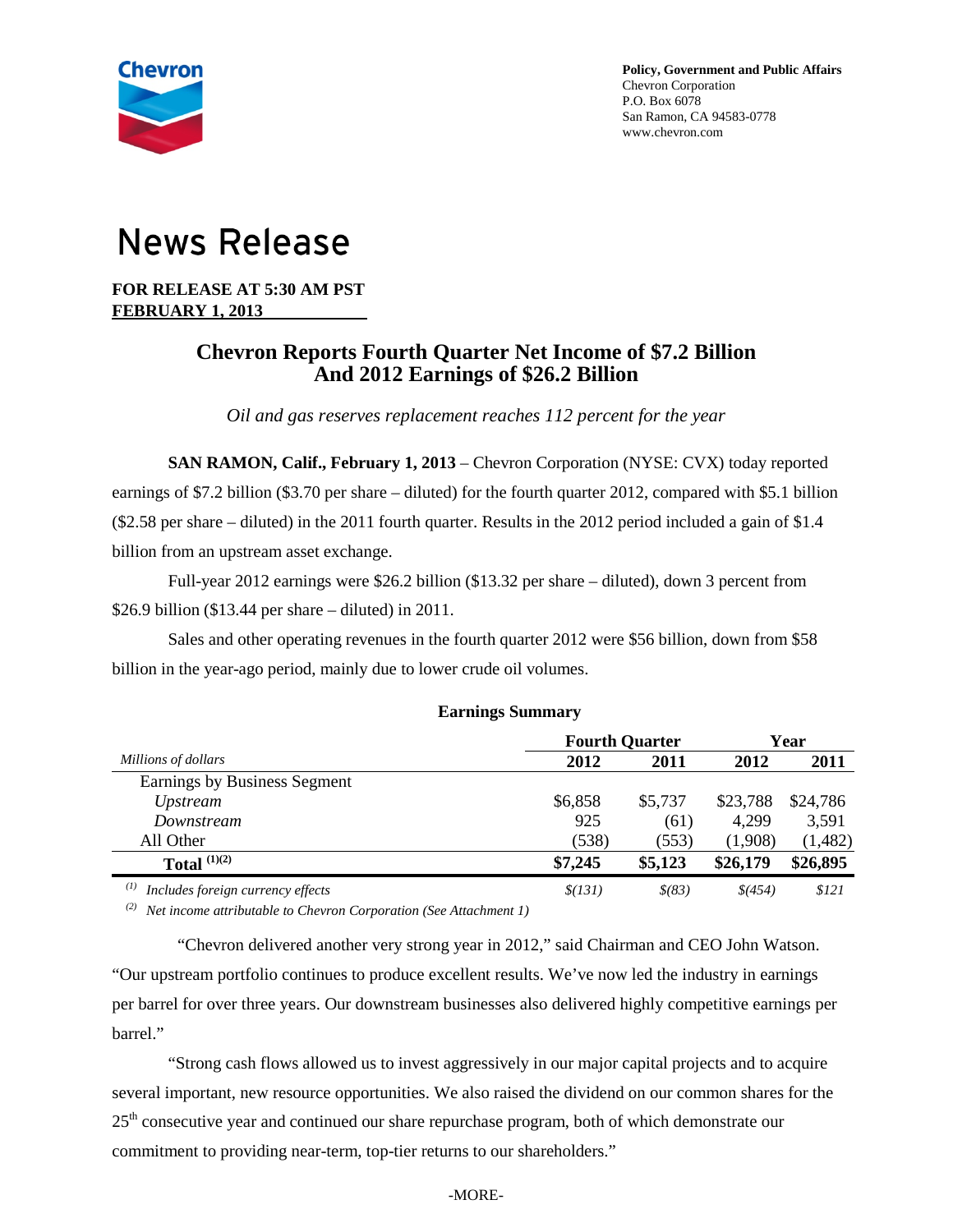

# **News Release**

**FOR RELEASE AT 5:30 AM PST FEBRUARY 1, 2013** 

# **Chevron Reports Fourth Quarter Net Income of \$7.2 Billion And 2012 Earnings of \$26.2 Billion**

*Oil and gas reserves replacement reaches 112 percent for the year*

**SAN RAMON, Calif., February 1, 2013** – Chevron Corporation (NYSE: CVX) today reported earnings of \$7.2 billion (\$3.70 per share – diluted) for the fourth quarter 2012, compared with \$5.1 billion (\$2.58 per share – diluted) in the 2011 fourth quarter. Results in the 2012 period included a gain of \$1.4 billion from an upstream asset exchange.

Full-year 2012 earnings were \$26.2 billion (\$13.32 per share – diluted), down 3 percent from \$26.9 billion (\$13.44 per share – diluted) in 2011.

Sales and other operating revenues in the fourth quarter 2012 were \$56 billion, down from \$58 billion in the year-ago period, mainly due to lower crude oil volumes.

|                                          | <b>Fourth Quarter</b> | Year       |          |          |
|------------------------------------------|-----------------------|------------|----------|----------|
| Millions of dollars                      | 2012                  | 2011       | 2012     | 2011     |
| Earnings by Business Segment             |                       |            |          |          |
| <i>Upstream</i>                          | \$6,858               | \$5,737    | \$23,788 | \$24,786 |
| Downstream                               | 925                   | (61)       | 4,299    | 3,591    |
| All Other                                | (538)                 | (553)      | (1,908)  | (1, 482) |
| Total $^{(1)(2)}$                        | \$7,245               | \$5,123    | \$26,179 | \$26,895 |
| (I)<br>Includes foreign currency effects | \$(131)               | $$^{(83)}$ | \$(454)  | \$121    |

# **Earnings Summary**

*(2) Net income attributable to Chevron Corporation (See Attachment 1)*

"Chevron delivered another very strong year in 2012," said Chairman and CEO John Watson. "Our upstream portfolio continues to produce excellent results. We've now led the industry in earnings per barrel for over three years. Our downstream businesses also delivered highly competitive earnings per barrel."

"Strong cash flows allowed us to invest aggressively in our major capital projects and to acquire several important, new resource opportunities. We also raised the dividend on our common shares for the 25<sup>th</sup> consecutive year and continued our share repurchase program, both of which demonstrate our commitment to providing near-term, top-tier returns to our shareholders."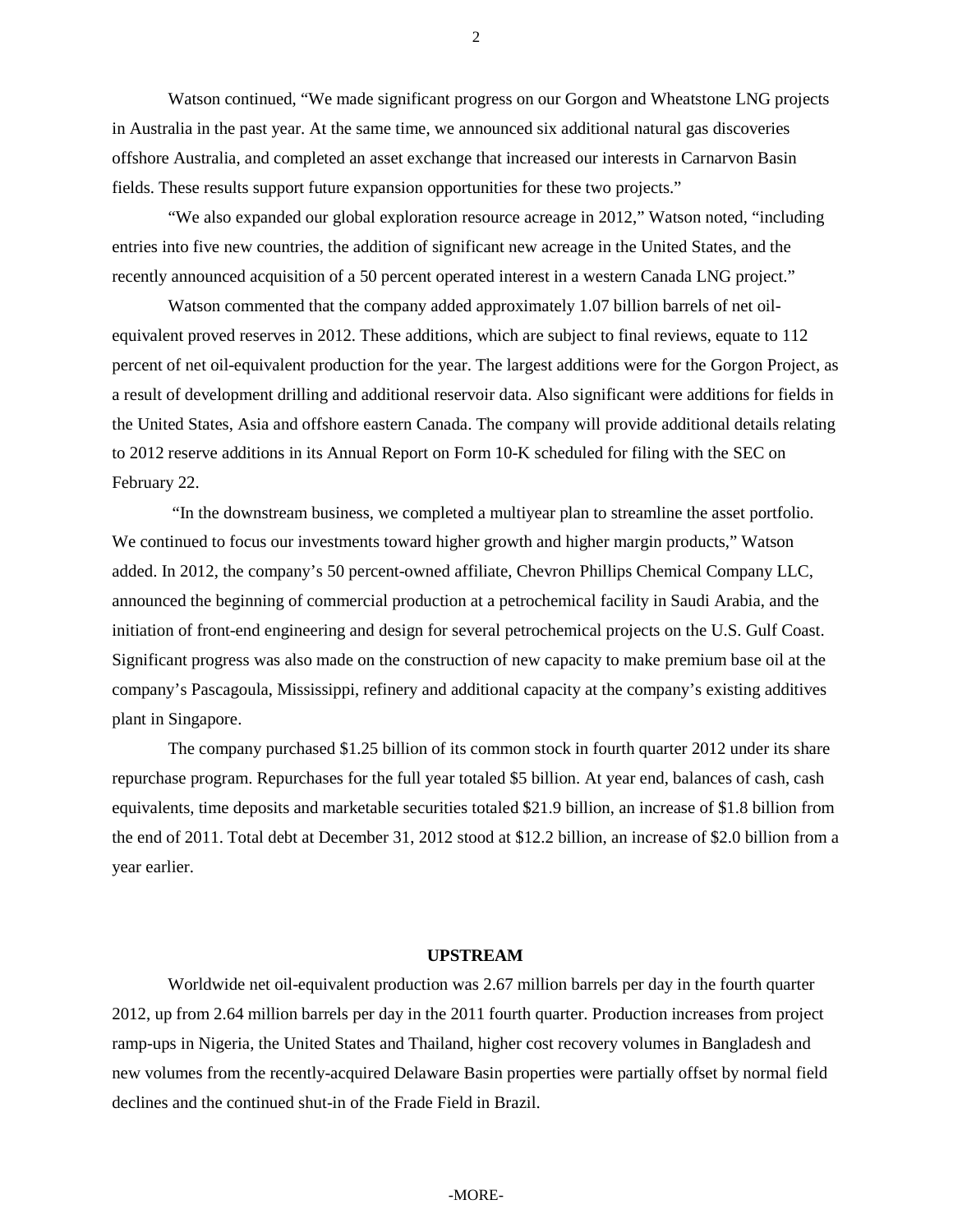Watson continued, "We made significant progress on our Gorgon and Wheatstone LNG projects in Australia in the past year. At the same time, we announced six additional natural gas discoveries offshore Australia, and completed an asset exchange that increased our interests in Carnarvon Basin fields. These results support future expansion opportunities for these two projects."

"We also expanded our global exploration resource acreage in 2012," Watson noted, "including entries into five new countries, the addition of significant new acreage in the United States, and the recently announced acquisition of a 50 percent operated interest in a western Canada LNG project."

Watson commented that the company added approximately 1.07 billion barrels of net oilequivalent proved reserves in 2012. These additions, which are subject to final reviews, equate to 112 percent of net oil-equivalent production for the year. The largest additions were for the Gorgon Project, as a result of development drilling and additional reservoir data. Also significant were additions for fields in the United States, Asia and offshore eastern Canada. The company will provide additional details relating to 2012 reserve additions in its Annual Report on Form 10-K scheduled for filing with the SEC on February 22.

"In the downstream business, we completed a multiyear plan to streamline the asset portfolio. We continued to focus our investments toward higher growth and higher margin products," Watson added. In 2012, the company's 50 percent-owned affiliate, Chevron Phillips Chemical Company LLC, announced the beginning of commercial production at a petrochemical facility in Saudi Arabia, and the initiation of front-end engineering and design for several petrochemical projects on the U.S. Gulf Coast. Significant progress was also made on the construction of new capacity to make premium base oil at the company's Pascagoula, Mississippi, refinery and additional capacity at the company's existing additives plant in Singapore.

The company purchased \$1.25 billion of its common stock in fourth quarter 2012 under its share repurchase program. Repurchases for the full year totaled \$5 billion. At year end, balances of cash, cash equivalents, time deposits and marketable securities totaled \$21.9 billion, an increase of \$1.8 billion from the end of 2011. Total debt at December 31, 2012 stood at \$12.2 billion, an increase of \$2.0 billion from a year earlier.

#### **UPSTREAM**

Worldwide net oil-equivalent production was 2.67 million barrels per day in the fourth quarter 2012, up from 2.64 million barrels per day in the 2011 fourth quarter. Production increases from project ramp-ups in Nigeria, the United States and Thailand, higher cost recovery volumes in Bangladesh and new volumes from the recently-acquired Delaware Basin properties were partially offset by normal field declines and the continued shut-in of the Frade Field in Brazil.

2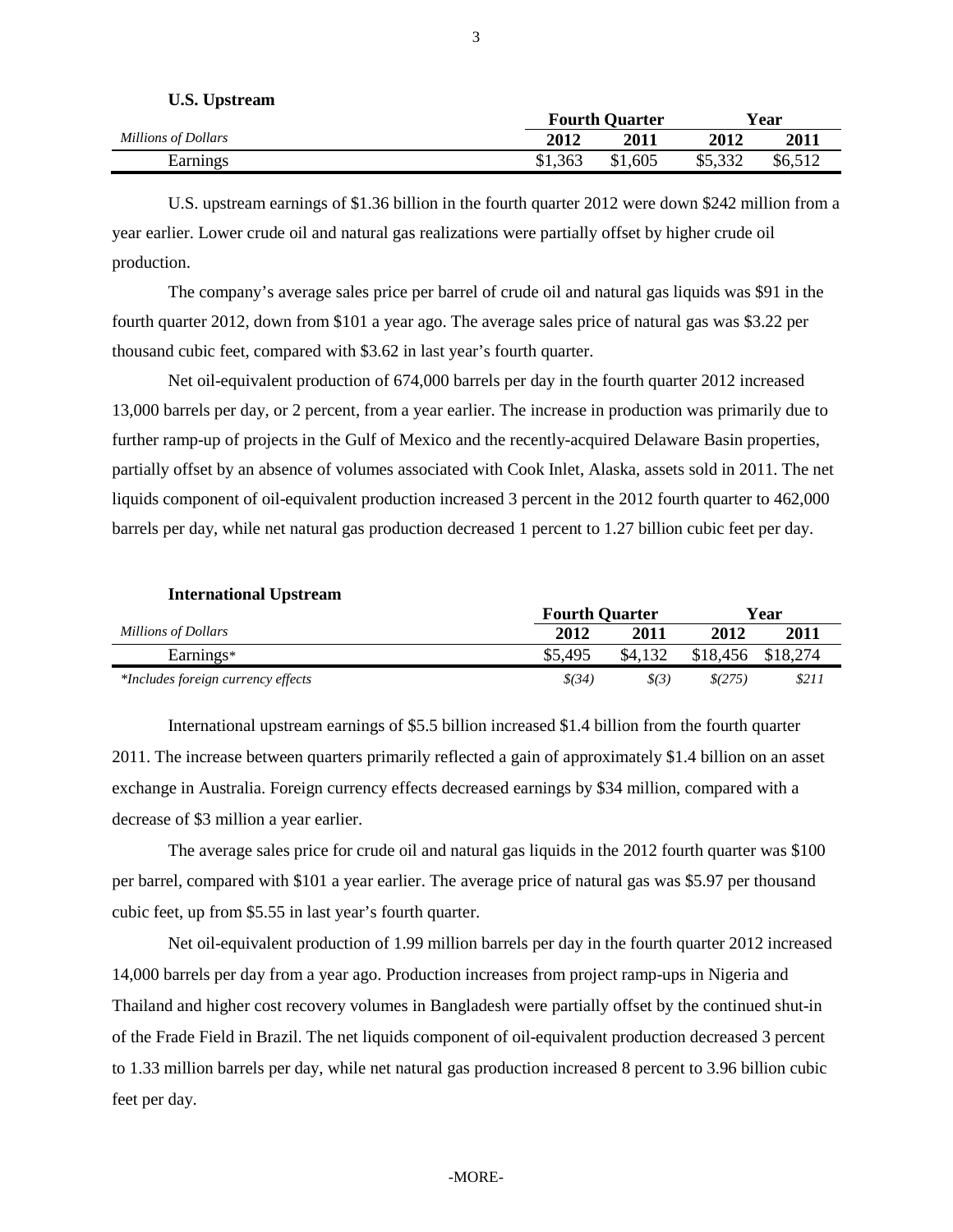| U.S. Upstream       |         | <b>Fourth Quarter</b> |         | Year    |
|---------------------|---------|-----------------------|---------|---------|
| Millions of Dollars | 2012    | 2011                  | 2012    | 2011    |
| Earnings            | \$1,363 | \$1,605               | \$5,332 | \$6,512 |

U.S. upstream earnings of \$1.36 billion in the fourth quarter 2012 were down \$242 million from a year earlier. Lower crude oil and natural gas realizations were partially offset by higher crude oil production.

The company's average sales price per barrel of crude oil and natural gas liquids was \$91 in the fourth quarter 2012, down from \$101 a year ago. The average sales price of natural gas was \$3.22 per thousand cubic feet, compared with \$3.62 in last year's fourth quarter.

Net oil-equivalent production of 674,000 barrels per day in the fourth quarter 2012 increased 13,000 barrels per day, or 2 percent, from a year earlier. The increase in production was primarily due to further ramp-up of projects in the Gulf of Mexico and the recently-acquired Delaware Basin properties, partially offset by an absence of volumes associated with Cook Inlet, Alaska, assets sold in 2011. The net liquids component of oil-equivalent production increased 3 percent in the 2012 fourth quarter to 462,000 barrels per day, while net natural gas production decreased 1 percent to 1.27 billion cubic feet per day.

**International Upstream**

**U.S. Upstream**

|                                    | <b>Fourth Quarter</b> |         | Year     |          |  |  |
|------------------------------------|-----------------------|---------|----------|----------|--|--|
| Millions of Dollars                | 2012                  | 2011    |          | 2011     |  |  |
| Earnings*                          | \$5,495               | \$4,132 | \$18,456 | \$18,274 |  |  |
| *Includes foreign currency effects | \$(34)                | \$(3)   | \$(275)  | \$211    |  |  |

International upstream earnings of \$5.5 billion increased \$1.4 billion from the fourth quarter 2011. The increase between quarters primarily reflected a gain of approximately \$1.4 billion on an asset exchange in Australia. Foreign currency effects decreased earnings by \$34 million, compared with a decrease of \$3 million a year earlier.

The average sales price for crude oil and natural gas liquids in the 2012 fourth quarter was \$100 per barrel, compared with \$101 a year earlier. The average price of natural gas was \$5.97 per thousand cubic feet, up from \$5.55 in last year's fourth quarter.

Net oil-equivalent production of 1.99 million barrels per day in the fourth quarter 2012 increased 14,000 barrels per day from a year ago. Production increases from project ramp-ups in Nigeria and Thailand and higher cost recovery volumes in Bangladesh were partially offset by the continued shut-in of the Frade Field in Brazil. The net liquids component of oil-equivalent production decreased 3 percent to 1.33 million barrels per day, while net natural gas production increased 8 percent to 3.96 billion cubic feet per day.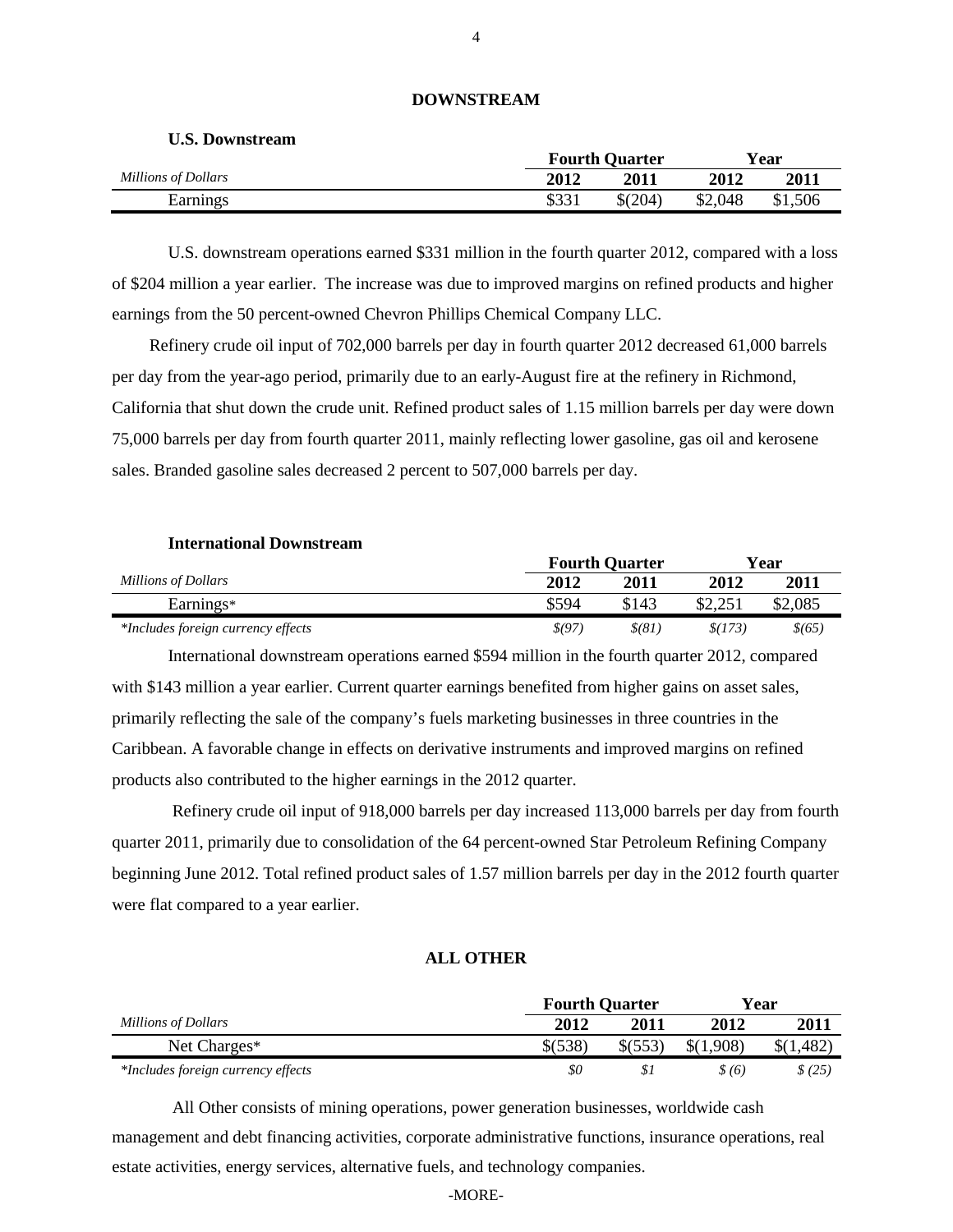|                     |                     | <b>Fourth Quarter</b> | Vear    |         |  |  |
|---------------------|---------------------|-----------------------|---------|---------|--|--|
| Millions of Dollars | 2012<br><b>2011</b> |                       | 2012    | 2011    |  |  |
| Earnings            | \$331               | $$^{(204)}$           | \$2,048 | \$1,506 |  |  |

# **DOWNSTREAM**

U.S. downstream operations earned \$331 million in the fourth quarter 2012, compared with a loss of \$204 million a year earlier. The increase was due to improved margins on refined products and higher earnings from the 50 percent-owned Chevron Phillips Chemical Company LLC.

Refinery crude oil input of 702,000 barrels per day in fourth quarter 2012 decreased 61,000 barrels per day from the year-ago period, primarily due to an early-August fire at the refinery in Richmond, California that shut down the crude unit. Refined product sales of 1.15 million barrels per day were down 75,000 barrels per day from fourth quarter 2011, mainly reflecting lower gasoline, gas oil and kerosene sales. Branded gasoline sales decreased 2 percent to 507,000 barrels per day.

| <b>International Downstream</b>    |        |                       |         |         |
|------------------------------------|--------|-----------------------|---------|---------|
|                                    |        | <b>Fourth Quarter</b> |         | Year    |
| Millions of Dollars                | 2012   | 2011                  | 2012    | 2011    |
| Earnings*                          | \$594  | \$143                 | \$2,251 | \$2,085 |
| *Includes foreign currency effects | \$(97) | $$$ (81               | \$(173) | \$(65)  |

International downstream operations earned \$594 million in the fourth quarter 2012, compared with \$143 million a year earlier. Current quarter earnings benefited from higher gains on asset sales, primarily reflecting the sale of the company's fuels marketing businesses in three countries in the Caribbean. A favorable change in effects on derivative instruments and improved margins on refined

products also contributed to the higher earnings in the 2012 quarter.

**U.S. Downstream**

Refinery crude oil input of 918,000 barrels per day increased 113,000 barrels per day from fourth quarter 2011, primarily due to consolidation of the 64 percent-owned Star Petroleum Refining Company beginning June 2012. Total refined product sales of 1.57 million barrels per day in the 2012 fourth quarter were flat compared to a year earlier.

# **ALL OTHER**

|                                    |             | <b>Fourth Quarter</b> |           |             |  |  |
|------------------------------------|-------------|-----------------------|-----------|-------------|--|--|
| Millions of Dollars                | 2012        | 2011                  | 2012      | <b>2011</b> |  |  |
| Net Charges*                       | $$^{(538)}$ | \$(553)               | \$(1,908) | \$(1,482)   |  |  |
| *Includes foreign currency effects | \$0         |                       | \$(6)     | \$(25)      |  |  |

All Other consists of mining operations, power generation businesses, worldwide cash management and debt financing activities, corporate administrative functions, insurance operations, real estate activities, energy services, alternative fuels, and technology companies.

#### -MORE-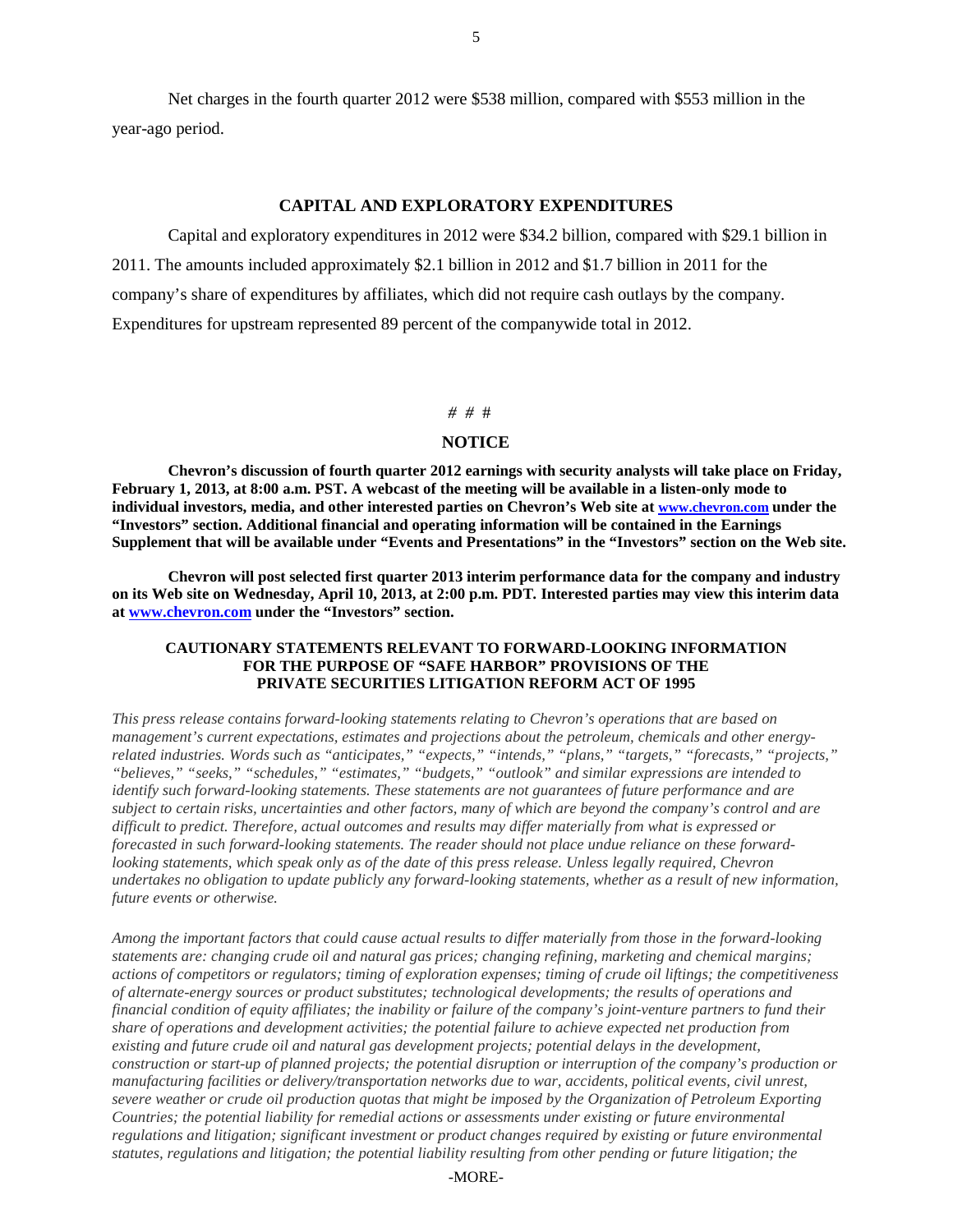Net charges in the fourth quarter 2012 were \$538 million, compared with \$553 million in the year-ago period.

# **CAPITAL AND EXPLORATORY EXPENDITURES**

Capital and exploratory expenditures in 2012 were \$34.2 billion, compared with \$29.1 billion in 2011. The amounts included approximately \$2.1 billion in 2012 and \$1.7 billion in 2011 for the company's share of expenditures by affiliates, which did not require cash outlays by the company. Expenditures for upstream represented 89 percent of the companywide total in 2012.

#### *# #* #

#### **NOTICE**

**Chevron's discussion of fourth quarter 2012 earnings with security analysts will take place on Friday, February 1, 2013, at 8:00 a.m. PST. A webcast of the meeting will be available in a listen-only mode to individual investors, media, and other interested parties on Chevron's Web site at [www.chevron.com](http://www.chevron.com/) under the "Investors" section. Additional financial and operating information will be contained in the Earnings Supplement that will be available under "Events and Presentations" in the "Investors" section on the Web site.**

**Chevron will post selected first quarter 2013 interim performance data for the company and industry on its Web site on Wednesday, April 10, 2013, at 2:00 p.m. PDT***.* **Interested parties may view this interim data at [www.chevron.com](http://www.chevron.com/) under the "Investors" section.** 

#### **CAUTIONARY STATEMENTS RELEVANT TO FORWARD-LOOKING INFORMATION FOR THE PURPOSE OF "SAFE HARBOR" PROVISIONS OF THE PRIVATE SECURITIES LITIGATION REFORM ACT OF 1995**

*This press release contains forward-looking statements relating to Chevron's operations that are based on management's current expectations, estimates and projections about the petroleum, chemicals and other energyrelated industries. Words such as "anticipates," "expects," "intends," "plans," "targets," "forecasts," "projects," "believes," "seeks," "schedules," "estimates," "budgets," "outlook" and similar expressions are intended to identify such forward-looking statements. These statements are not guarantees of future performance and are subject to certain risks, uncertainties and other factors, many of which are beyond the company's control and are difficult to predict. Therefore, actual outcomes and results may differ materially from what is expressed or forecasted in such forward-looking statements. The reader should not place undue reliance on these forwardlooking statements, which speak only as of the date of this press release. Unless legally required, Chevron undertakes no obligation to update publicly any forward-looking statements, whether as a result of new information, future events or otherwise.*

*Among the important factors that could cause actual results to differ materially from those in the forward-looking statements are: changing crude oil and natural gas prices; changing refining, marketing and chemical margins; actions of competitors or regulators; timing of exploration expenses; timing of crude oil liftings; the competitiveness of alternate-energy sources or product substitutes; technological developments; the results of operations and financial condition of equity affiliates; the inability or failure of the company's joint-venture partners to fund their share of operations and development activities; the potential failure to achieve expected net production from existing and future crude oil and natural gas development projects; potential delays in the development, construction or start-up of planned projects; the potential disruption or interruption of the company's production or manufacturing facilities or delivery/transportation networks due to war, accidents, political events, civil unrest, severe weather or crude oil production quotas that might be imposed by the Organization of Petroleum Exporting Countries; the potential liability for remedial actions or assessments under existing or future environmental regulations and litigation; significant investment or product changes required by existing or future environmental statutes, regulations and litigation; the potential liability resulting from other pending or future litigation; the*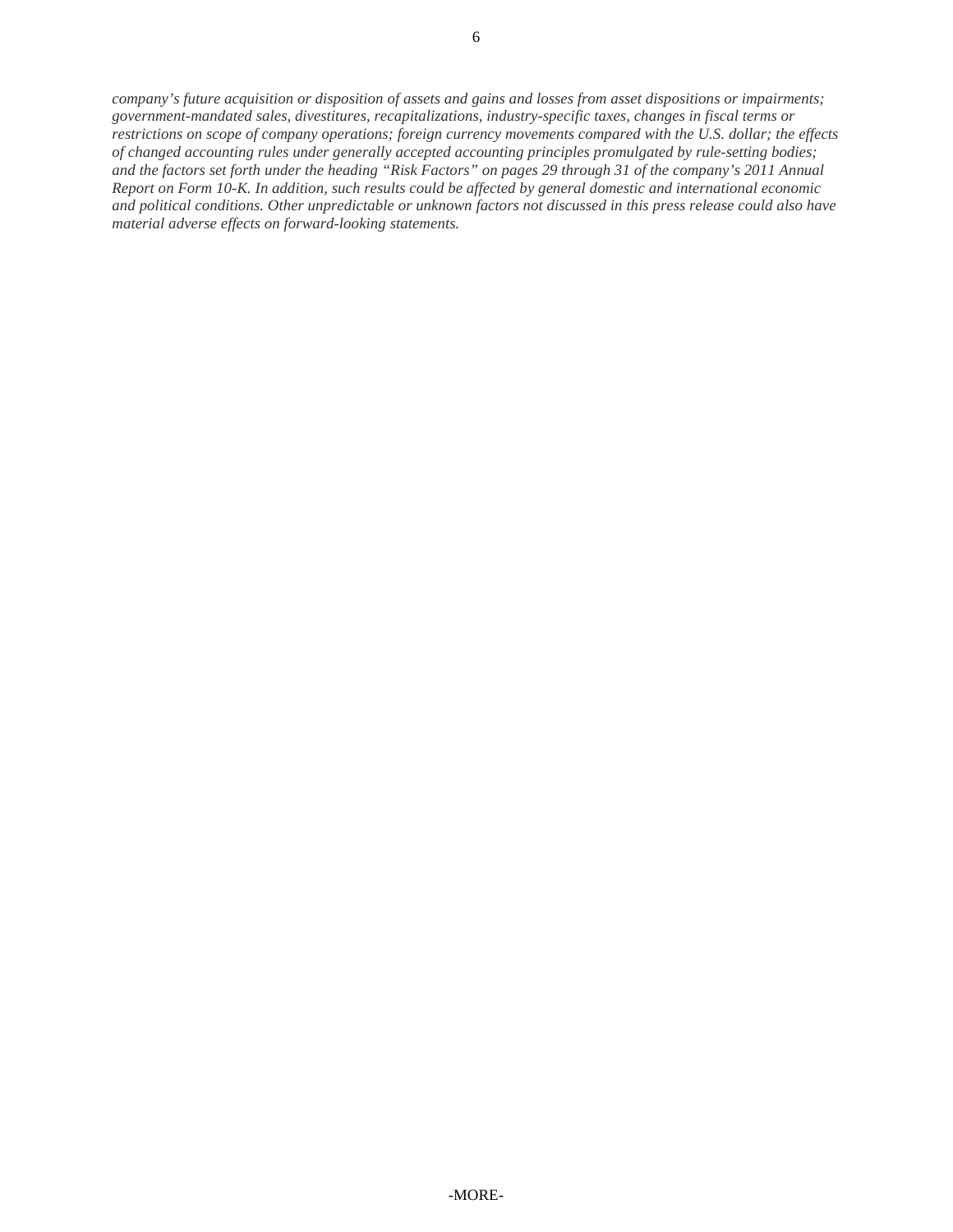*company's future acquisition or disposition of assets and gains and losses from asset dispositions or impairments; government-mandated sales, divestitures, recapitalizations, industry-specific taxes, changes in fiscal terms or restrictions on scope of company operations; foreign currency movements compared with the U.S. dollar; the effects of changed accounting rules under generally accepted accounting principles promulgated by rule-setting bodies; and the factors set forth under the heading "Risk Factors" on pages 29 through 31 of the company's 2011 Annual Report on Form 10-K. In addition, such results could be affected by general domestic and international economic and political conditions. Other unpredictable or unknown factors not discussed in this press release could also have material adverse effects on forward-looking statements.*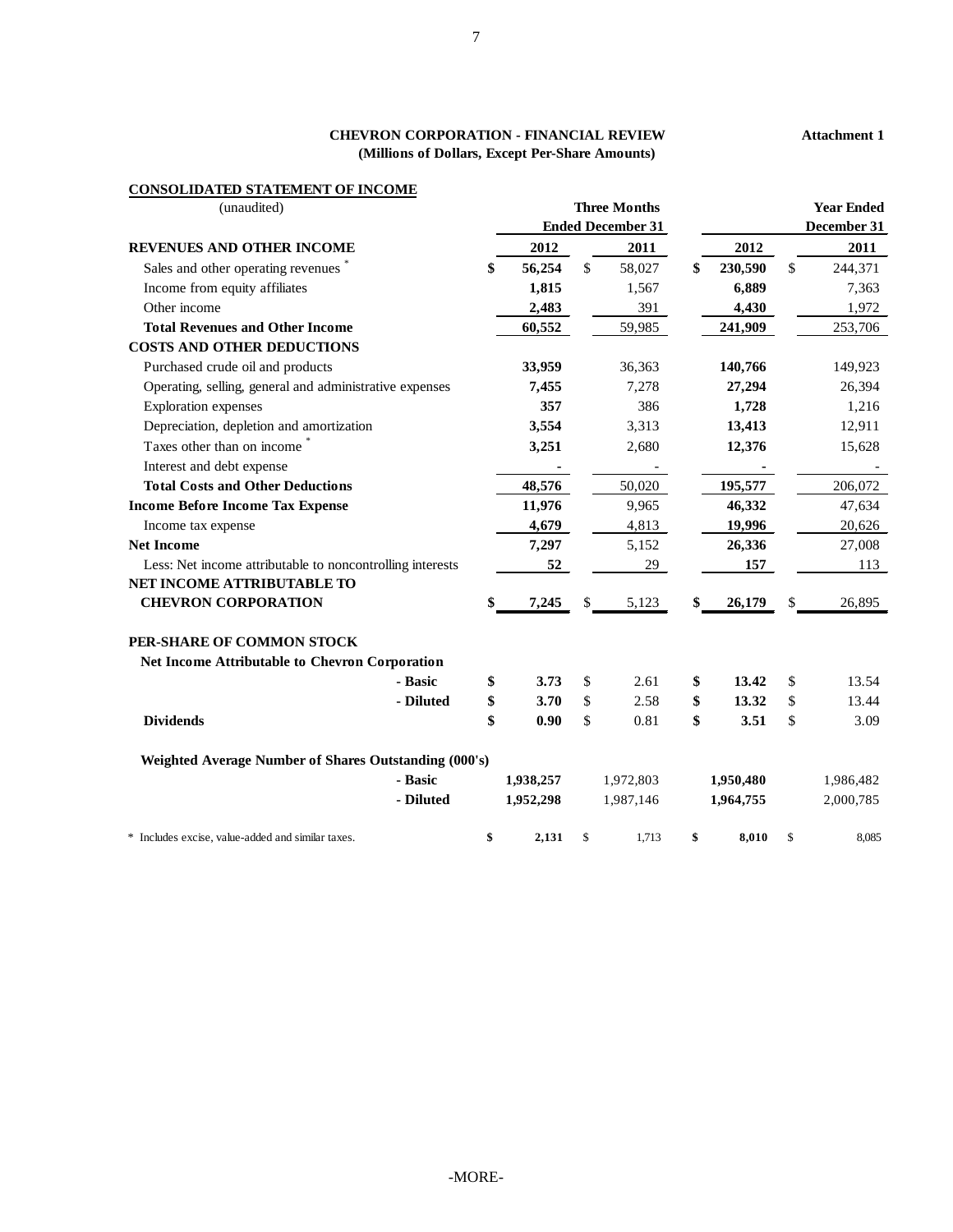# **CHEVRON CORPORATION - FINANCIAL REVIEW (Millions of Dollars, Except Per-Share Amounts)**

# **CONSOLIDATED STATEMENT OF INCOME**

| (unaudited)                                               |              | <b>Three Months</b><br><b>Ended December 31</b> |               | <b>Year Ended</b><br>December 31 |
|-----------------------------------------------------------|--------------|-------------------------------------------------|---------------|----------------------------------|
| <b>REVENUES AND OTHER INCOME</b>                          | 2012         | 2011                                            | 2012          | 2011                             |
| Sales and other operating revenues                        | \$<br>56,254 | \$<br>58,027                                    | \$<br>230,590 | \$<br>244,371                    |
| Income from equity affiliates                             | 1,815        | 1,567                                           | 6,889         | 7,363                            |
| Other income                                              | 2,483        | 391                                             | 4,430         | 1,972                            |
| <b>Total Revenues and Other Income</b>                    | 60,552       | 59,985                                          | 241,909       | 253,706                          |
| <b>COSTS AND OTHER DEDUCTIONS</b>                         |              |                                                 |               |                                  |
| Purchased crude oil and products                          | 33,959       | 36,363                                          | 140,766       | 149,923                          |
| Operating, selling, general and administrative expenses   | 7,455        | 7,278                                           | 27,294        | 26,394                           |
| <b>Exploration</b> expenses                               | 357          | 386                                             | 1,728         | 1,216                            |
| Depreciation, depletion and amortization                  | 3,554        | 3,313                                           | 13,413        | 12,911                           |
| Taxes other than on income                                | 3,251        | 2,680                                           | 12,376        | 15,628                           |
| Interest and debt expense                                 |              |                                                 |               |                                  |
| <b>Total Costs and Other Deductions</b>                   | 48,576       | 50,020                                          | 195,577       | 206,072                          |
| <b>Income Before Income Tax Expense</b>                   | 11,976       | 9,965                                           | 46,332        | 47,634                           |
| Income tax expense                                        | 4,679        | 4,813                                           | 19,996        | 20,626                           |
| <b>Net Income</b>                                         | 7,297        | 5,152                                           | 26,336        | 27,008                           |
| Less: Net income attributable to noncontrolling interests | 52           | 29                                              | 157           | 113                              |
| NET INCOME ATTRIBUTABLE TO                                |              |                                                 |               |                                  |
| <b>CHEVRON CORPORATION</b>                                | \$<br>7,245  | \$<br>5,123                                     | \$<br>26,179  | \$<br>26,895                     |
| PER-SHARE OF COMMON STOCK                                 |              |                                                 |               |                                  |
| Net Income Attributable to Chevron Corporation            |              |                                                 |               |                                  |
| - Basic                                                   | \$<br>3.73   | \$<br>2.61                                      | \$<br>13.42   | \$<br>13.54                      |
| - Diluted                                                 | \$<br>3.70   | \$<br>2.58                                      | \$<br>13.32   | \$<br>13.44                      |
| <b>Dividends</b>                                          | \$<br>0.90   | \$<br>0.81                                      | \$<br>3.51    | \$<br>3.09                       |
| Weighted Average Number of Shares Outstanding (000's)     |              |                                                 |               |                                  |
| - Basic                                                   | 1,938,257    | 1,972,803                                       | 1,950,480     | 1,986,482                        |
| - Diluted                                                 | 1,952,298    | 1,987,146                                       | 1,964,755     | 2,000,785                        |
| * Includes excise, value-added and similar taxes.         | \$<br>2,131  | \$<br>1,713                                     | \$<br>8,010   | \$<br>8,085                      |

#### **Attachment 1**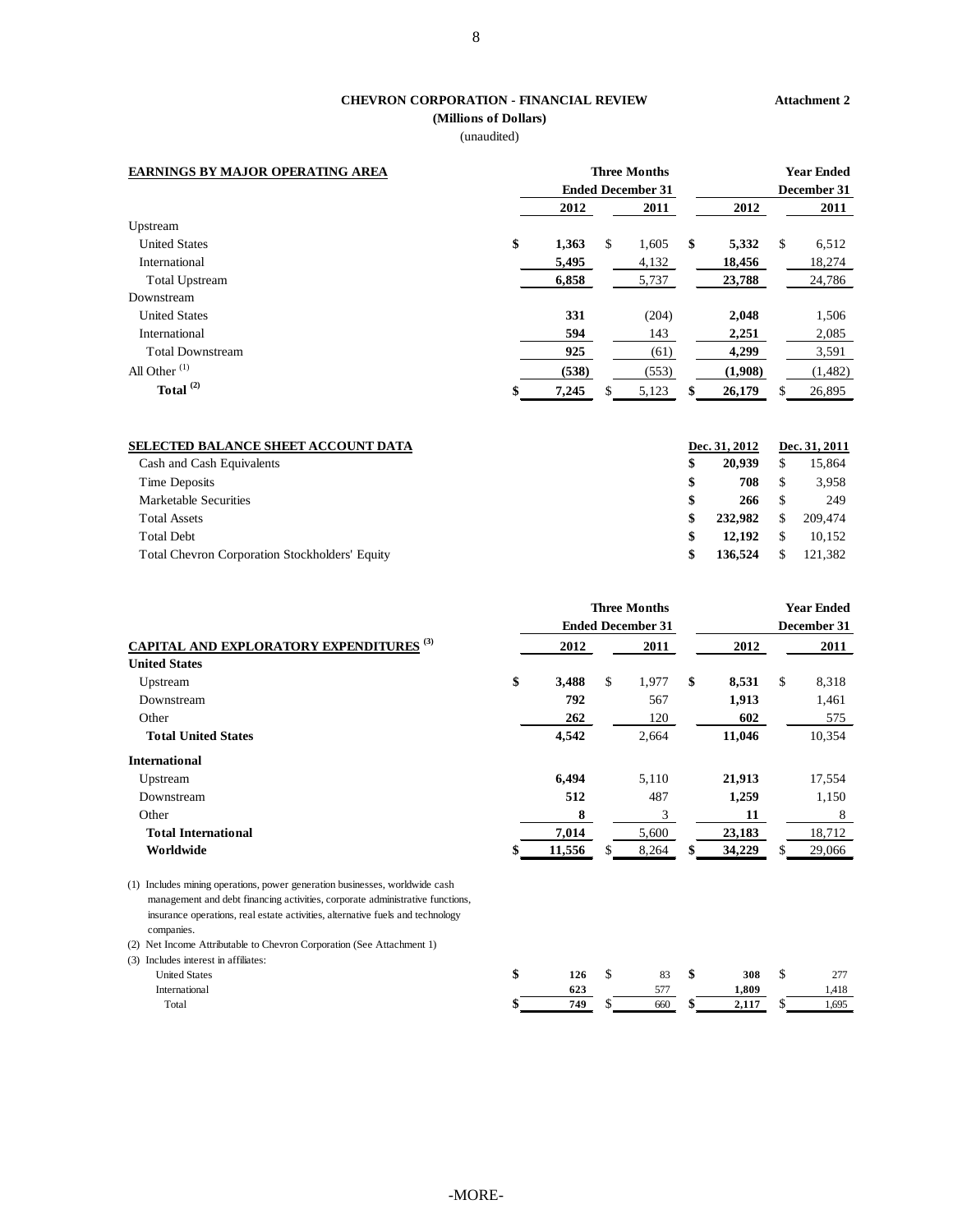# **CHEVRON CORPORATION - FINANCIAL REVIEW**

**(Millions of Dollars)** (unaudited)

#### **Attachment 2**

| <b>EARNINGS BY MAJOR OPERATING AREA</b> | <b>Three Months</b><br><b>Ended December 31</b> |    |       |    |         | <b>Year Ended</b><br>December 31 |          |
|-----------------------------------------|-------------------------------------------------|----|-------|----|---------|----------------------------------|----------|
|                                         | 2012                                            |    | 2011  |    | 2012    |                                  | 2011     |
| Upstream                                |                                                 |    |       |    |         |                                  |          |
| <b>United States</b>                    | \$<br>1,363                                     | \$ | 1,605 | \$ | 5,332   | \$                               | 6,512    |
| International                           | 5,495                                           |    | 4,132 |    | 18,456  |                                  | 18,274   |
| <b>Total Upstream</b>                   | 6,858                                           |    | 5,737 |    | 23,788  |                                  | 24,786   |
| Downstream                              |                                                 |    |       |    |         |                                  |          |
| <b>United States</b>                    | 331                                             |    | (204) |    | 2,048   |                                  | 1,506    |
| International                           | 594                                             |    | 143   |    | 2,251   |                                  | 2,085    |
| <b>Total Downstream</b>                 | 925                                             |    | (61)  |    | 4,299   |                                  | 3,591    |
| All Other $(1)$                         | (538)                                           |    | (553) |    | (1,908) |                                  | (1, 482) |
| Total $^{(2)}$                          | \$<br>7,245                                     | \$ | 5,123 | \$ | 26,179  | S                                | 26.895   |

| <b>SELECTED BALANCE SHEET ACCOUNT DATA</b>            | Dec. 31, 2012 | Dec. 31, 2011 |
|-------------------------------------------------------|---------------|---------------|
| Cash and Cash Equivalents                             | \$<br>20,939  | 15,864        |
| Time Deposits                                         | \$<br>708     | 3,958         |
| Marketable Securities                                 | \$<br>266     | 249           |
| <b>Total Assets</b>                                   | \$<br>232,982 | 209,474       |
| <b>Total Debt</b>                                     | \$<br>12,192  | 10.152        |
| <b>Total Chevron Corporation Stockholders' Equity</b> | \$<br>136,524 | 121.382       |
|                                                       |               |               |

|                                                                             |             | <b>Three Months</b>      |              |    | <b>Year Ended</b> |
|-----------------------------------------------------------------------------|-------------|--------------------------|--------------|----|-------------------|
|                                                                             |             | <b>Ended December 31</b> |              |    | December 31       |
| <b>CAPITAL AND EXPLORATORY EXPENDITURES (3)</b>                             | 2012        | 2011                     | 2012         |    | 2011              |
| <b>United States</b>                                                        |             |                          |              |    |                   |
| Upstream                                                                    | \$<br>3,488 | \$<br>1,977              | \$<br>8,531  | £. | 8,318             |
| Downstream                                                                  | 792         | 567                      | 1,913        |    | 1,461             |
| Other                                                                       | 262         | 120                      | 602          |    | 575               |
| <b>Total United States</b>                                                  | 4,542       | 2,664                    | 11,046       |    | 10,354            |
| <b>International</b>                                                        |             |                          |              |    |                   |
| Upstream                                                                    | 6,494       | 5,110                    | 21,913       |    | 17,554            |
| Downstream                                                                  | 512         | 487                      | 1,259        |    | 1,150             |
| Other                                                                       | 8           | 3                        | 11           |    | 8                 |
| <b>Total International</b>                                                  | 7,014       | 5,600                    | 23,183       |    | 18,712            |
| Worldwide                                                                   | 11,556      | \$<br>8,264              | \$<br>34,229 |    | 29,066            |
| (1) Includes mining operations, nower generation businesses, worldwide cash |             |                          |              |    |                   |

(1) Includes mining operations, power generation businesses, worldwide cash management and debt financing activities, corporate administrative functions, insurance operations, real estate activities, alternative fuels and technology companies.

(2) Net Income Attributable to Chevron Corporation (See Attachment 1)

(3) Includes interest in affiliates:

| menages mercies in ammates. |     |               |             |            |
|-----------------------------|-----|---------------|-------------|------------|
| <b>United States</b>        | 126 | 83            | 308         | 277<br>، ت |
| International               | 049 | $- - -$<br>IJ | 1.809       | 1.418      |
| Total                       | 749 | 660           | 117<br>4.11 | 1,695      |